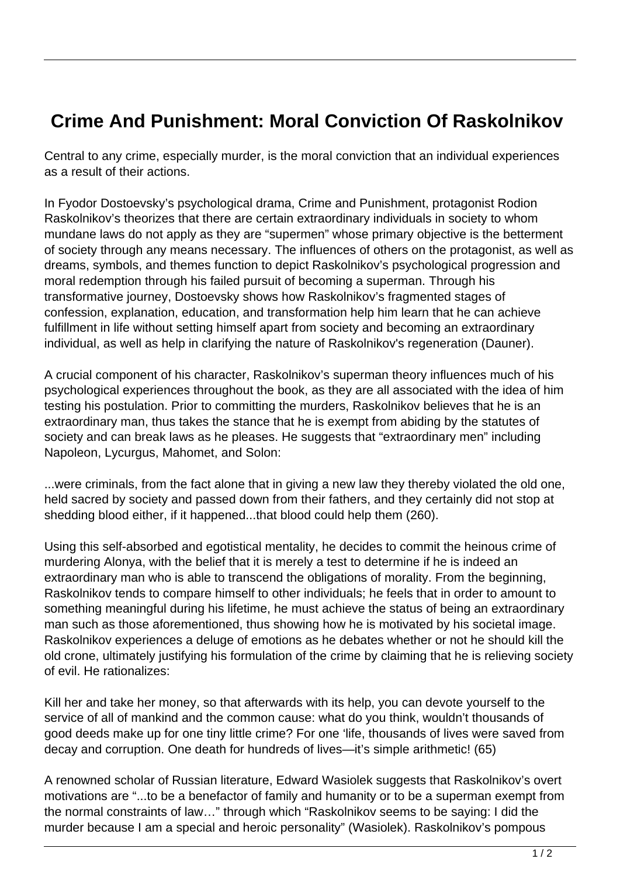## **Crime And Punishment: Moral Conviction Of Raskolnikov**

Central to any crime, especially murder, is the moral conviction that an individual experiences as a result of their actions.

In Fyodor Dostoevsky's psychological drama, Crime and Punishment, protagonist Rodion Raskolnikov's theorizes that there are certain extraordinary individuals in society to whom mundane laws do not apply as they are "supermen" whose primary objective is the betterment of society through any means necessary. The influences of others on the protagonist, as well as dreams, symbols, and themes function to depict Raskolnikov's psychological progression and moral redemption through his failed pursuit of becoming a superman. Through his transformative journey, Dostoevsky shows how Raskolnikov's fragmented stages of confession, explanation, education, and transformation help him learn that he can achieve fulfillment in life without setting himself apart from society and becoming an extraordinary individual, as well as help in clarifying the nature of Raskolnikov's regeneration (Dauner).

A crucial component of his character, Raskolnikov's superman theory influences much of his psychological experiences throughout the book, as they are all associated with the idea of him testing his postulation. Prior to committing the murders, Raskolnikov believes that he is an extraordinary man, thus takes the stance that he is exempt from abiding by the statutes of society and can break laws as he pleases. He suggests that "extraordinary men" including Napoleon, Lycurgus, Mahomet, and Solon:

...were criminals, from the fact alone that in giving a new law they thereby violated the old one, held sacred by society and passed down from their fathers, and they certainly did not stop at shedding blood either, if it happened...that blood could help them (260).

Using this self-absorbed and egotistical mentality, he decides to commit the heinous crime of murdering Alonya, with the belief that it is merely a test to determine if he is indeed an extraordinary man who is able to transcend the obligations of morality. From the beginning, Raskolnikov tends to compare himself to other individuals; he feels that in order to amount to something meaningful during his lifetime, he must achieve the status of being an extraordinary man such as those aforementioned, thus showing how he is motivated by his societal image. Raskolnikov experiences a deluge of emotions as he debates whether or not he should kill the old crone, ultimately justifying his formulation of the crime by claiming that he is relieving society of evil. He rationalizes:

Kill her and take her money, so that afterwards with its help, you can devote yourself to the service of all of mankind and the common cause: what do you think, wouldn't thousands of good deeds make up for one tiny little crime? For one 'life, thousands of lives were saved from decay and corruption. One death for hundreds of lives—it's simple arithmetic! (65)

A renowned scholar of Russian literature, Edward Wasiolek suggests that Raskolnikov's overt motivations are "...to be a benefactor of family and humanity or to be a superman exempt from the normal constraints of law…" through which "Raskolnikov seems to be saying: I did the murder because I am a special and heroic personality" (Wasiolek). Raskolnikov's pompous